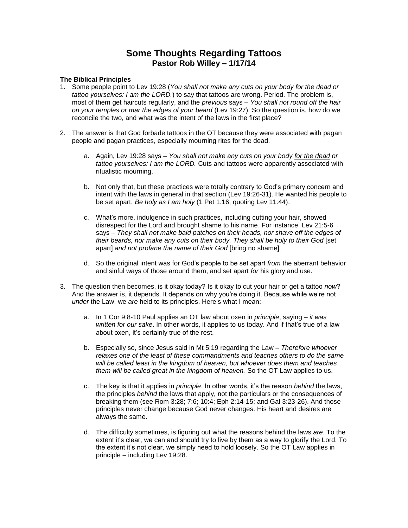## **Some Thoughts Regarding Tattoos Pastor Rob Willey – 1/17/14**

## **The Biblical Principles**

- 1. Some people point to Lev 19:28 (*You shall not make any cuts on your body for the dead or tattoo yourselves: I am the LORD.*) to say that tattoos are wrong. Period. The problem is, most of them get haircuts regularly, and the *previous* says – *You shall not round off the hair on your temples or mar the edges of your beard* (Lev 19:27). So the question is, how do we reconcile the two, and what was the intent of the laws in the first place?
- 2. The answer is that God forbade tattoos in the OT because they were associated with pagan people and pagan practices, especially mourning rites for the dead.
	- a. Again, Lev 19:28 says *You shall not make any cuts on your body for the dead or tattoo yourselves: I am the LORD.* Cuts and tattoos were apparently associated with ritualistic mourning.
	- b. Not only that, but these practices were totally contrary to God's primary concern and intent with the laws in general in that section (Lev 19:26-31). He wanted his people to be set apart. *Be holy as I am holy* (1 Pet 1:16, quoting Lev 11:44).
	- c. What's more, indulgence in such practices, including cutting your hair, showed disrespect for the Lord and brought shame to his name. For instance, Lev 21:5-6 says – *They shall not make bald patches on their heads, nor shave off the edges of their beards, nor make any cuts on their body. They shall be holy to their God* [set apart] *and not profane the name of their God* [bring no shame]*.*
	- d. So the original intent was for God's people to be set apart *from* the aberrant behavior and sinful ways of those around them, and set apart *for* his glory and use.
- 3. The question then becomes, is it okay today? Is it okay to cut your hair or get a tattoo *now*? And the answer is, it depends. It depends on why you're doing it. Because while we're not *under* the Law, we *are* held to its principles. Here's what I mean:
	- a. In 1 Cor 9:8-10 Paul applies an OT law about oxen in *principle*, saying *it was written for our sake*. In other words, it applies to us today. And if that's true of a law about oxen, it's certainly true of the rest.
	- b. Especially so, since Jesus said in Mt 5:19 regarding the Law *Therefore whoever relaxes one of the least of these commandments and teaches others to do the same will be called least in the kingdom of heaven, but whoever does them and teaches them will be called great in the kingdom of heaven.* So the OT Law applies to us.
	- c. The key is that it applies in *principle*. In other words, it's the reason *behind* the laws, the principles *behind* the laws that apply, not the particulars or the consequences of breaking them (see Rom 3:28; 7:6; 10:4; Eph 2:14-15; and Gal 3:23-26). And those principles never change because God never changes. His heart and desires are always the same.
	- d. The difficulty sometimes, is figuring out what the reasons behind the laws *are*. To the extent it's clear, we can and should try to live by them as a way to glorify the Lord. To the extent it's not clear, we simply need to hold loosely. So the OT Law applies in principle – including Lev 19:28.